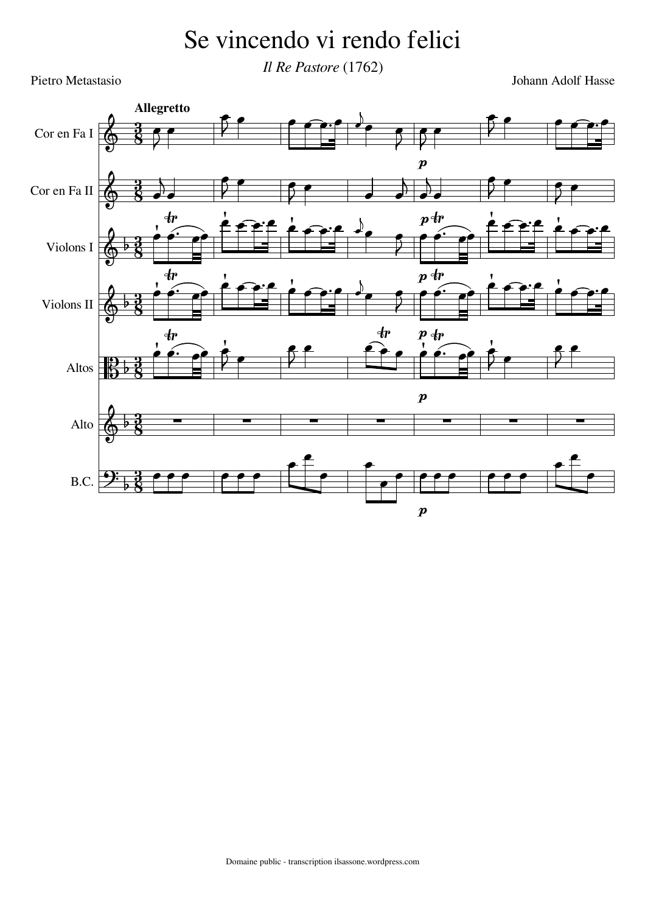## Se vincendo vi rendo felici

Il Re Pastore  $(1762)$ 

Pietro Metastasio

Johann Adolf Hasse

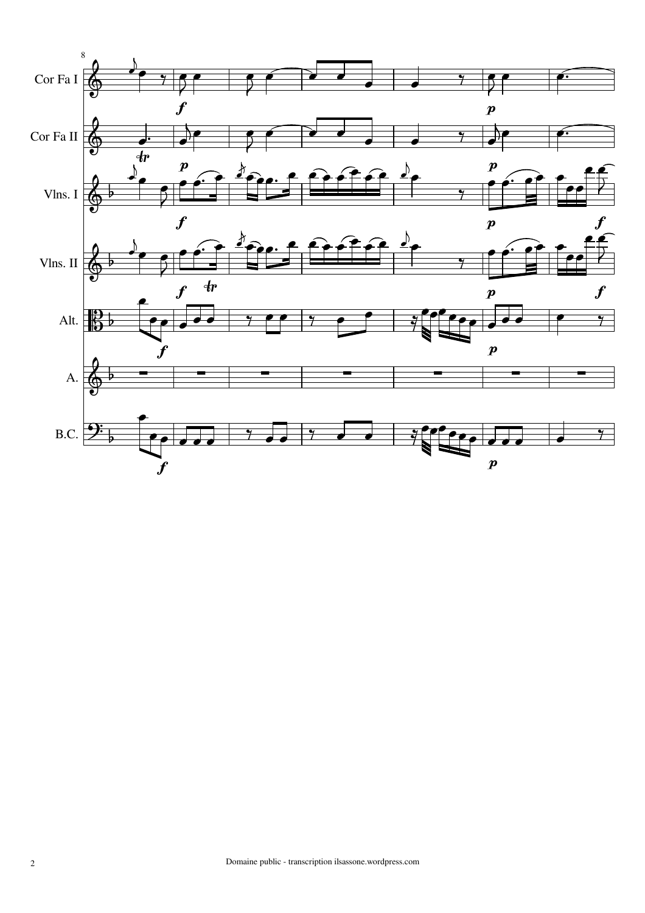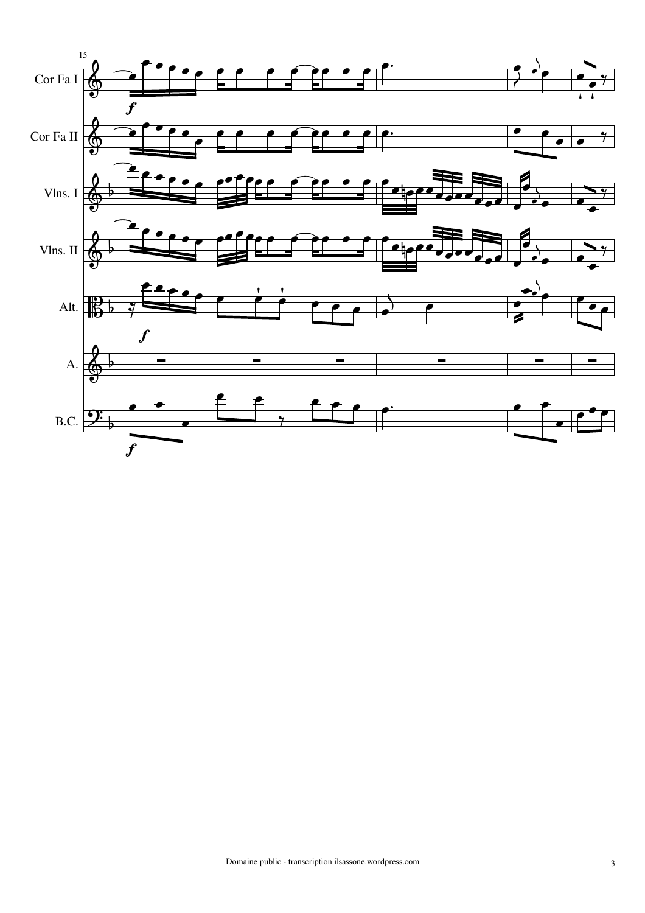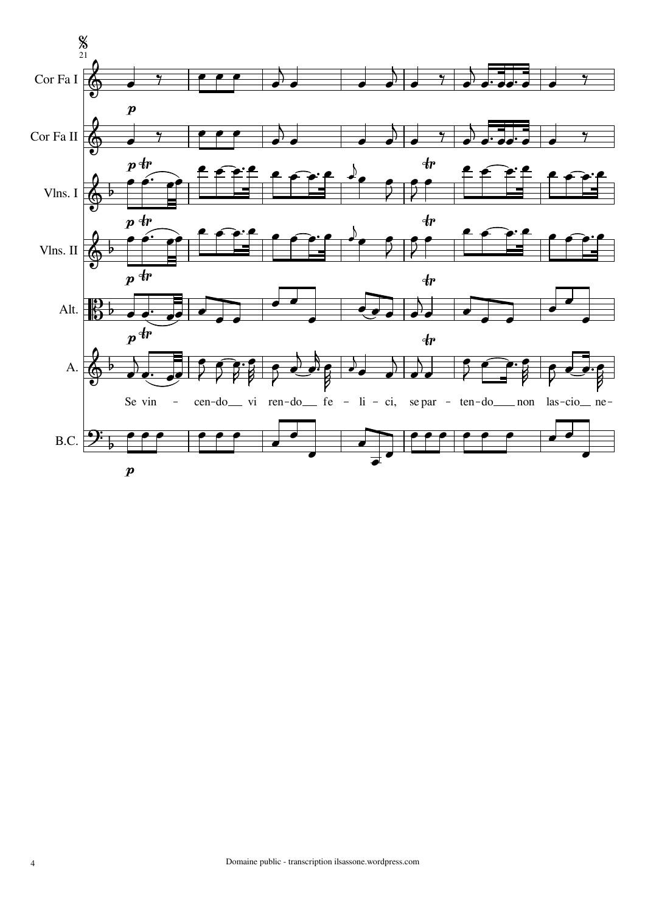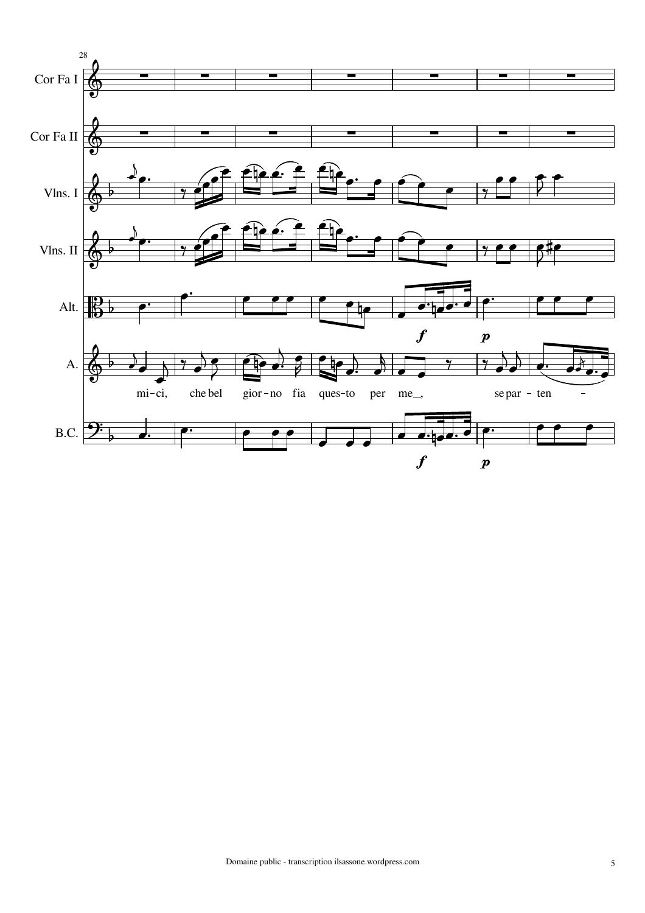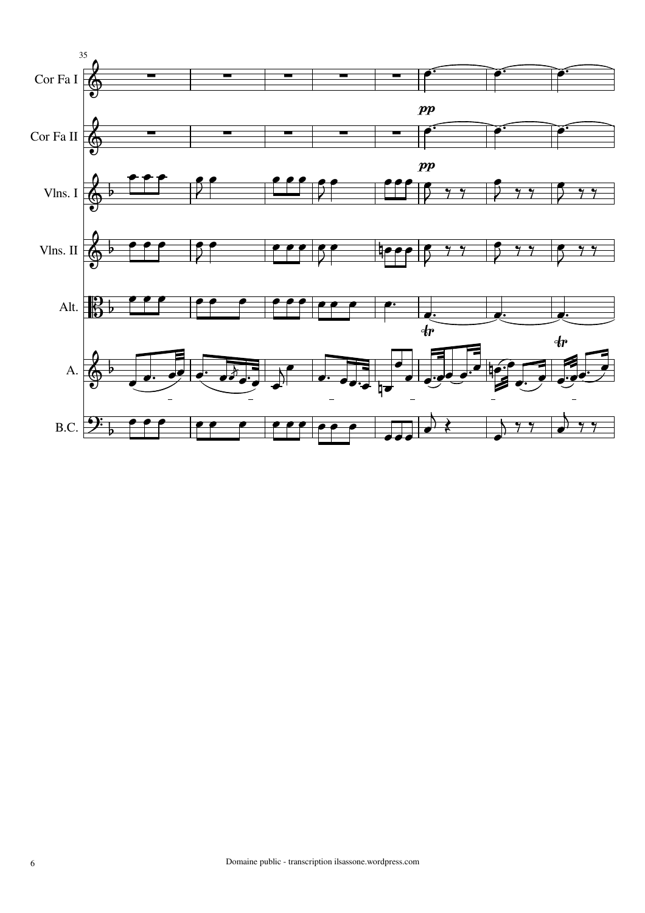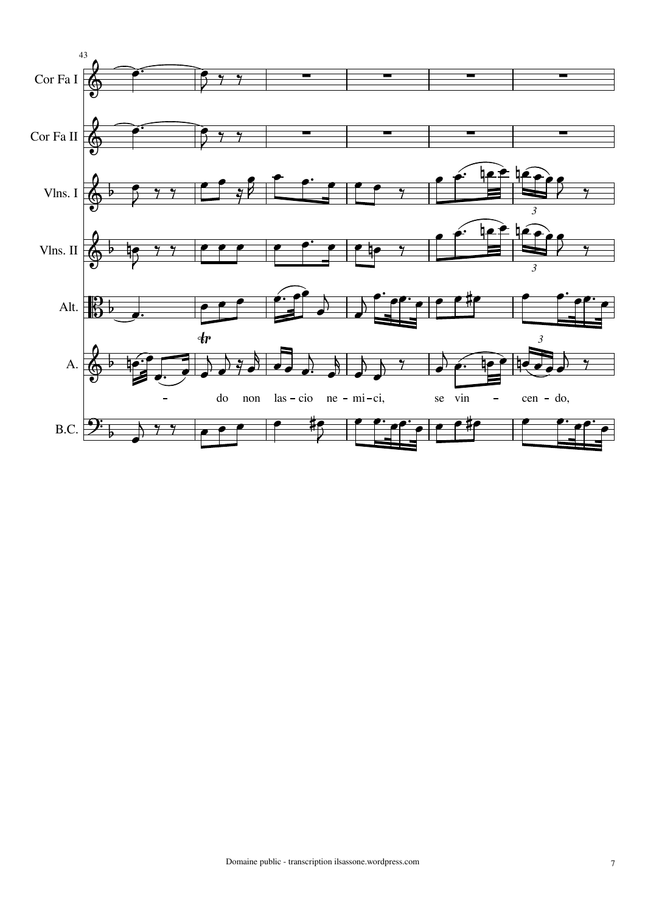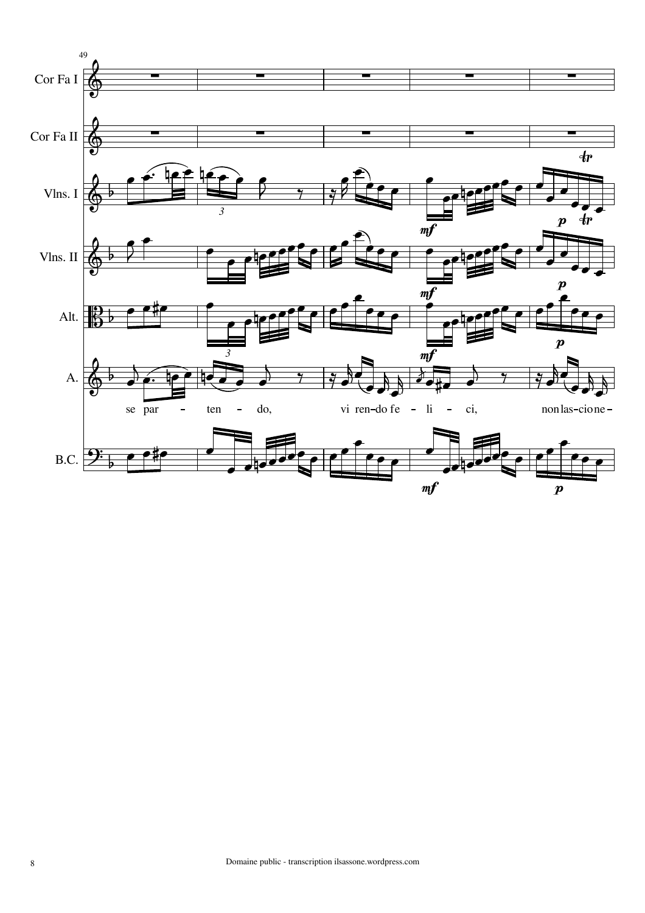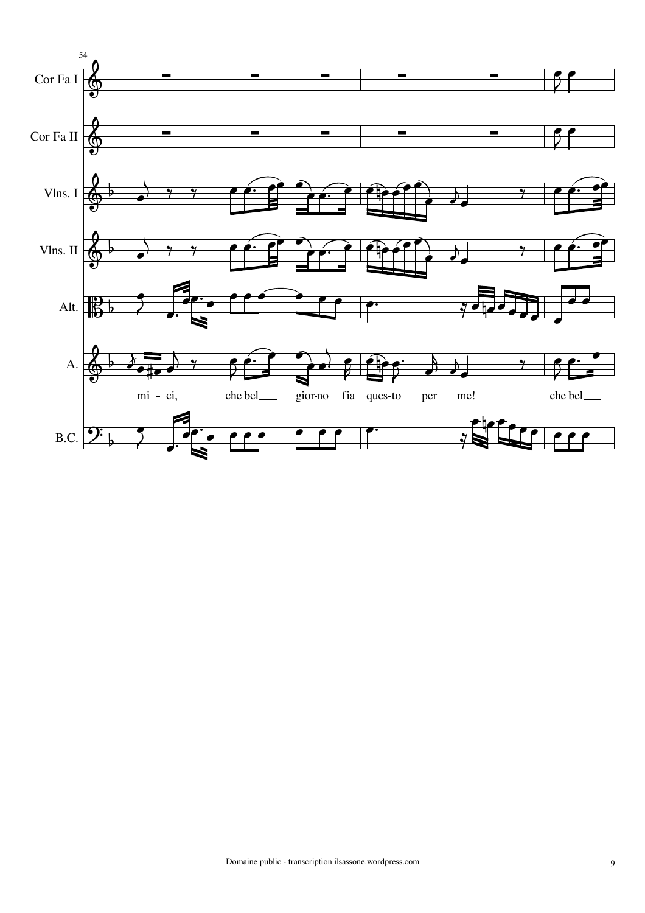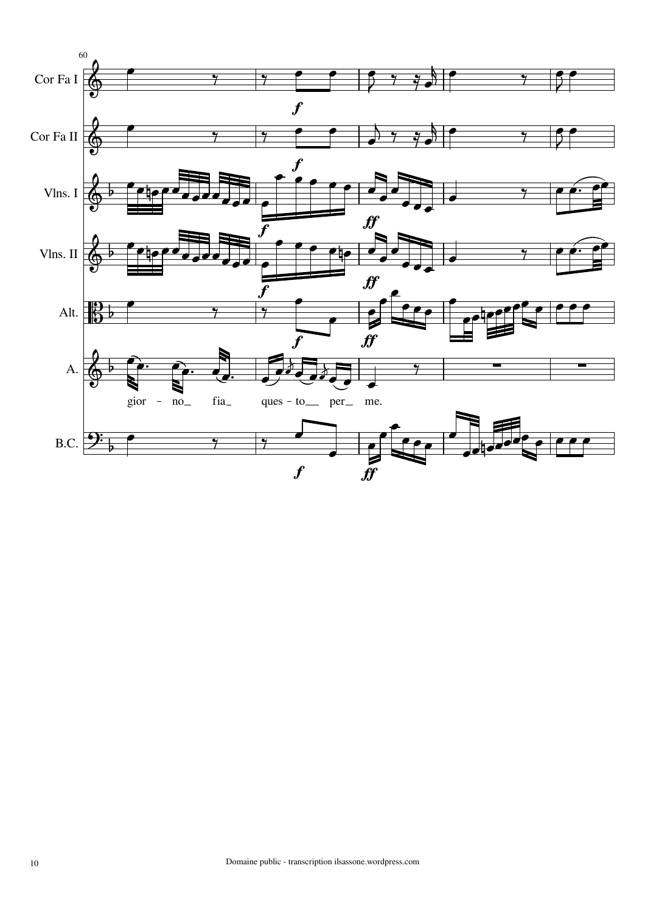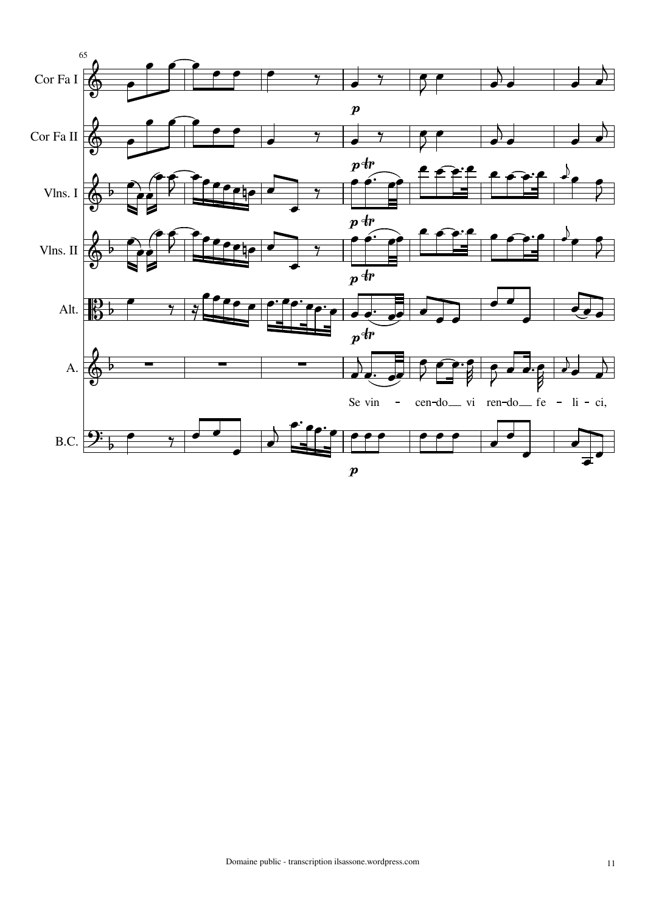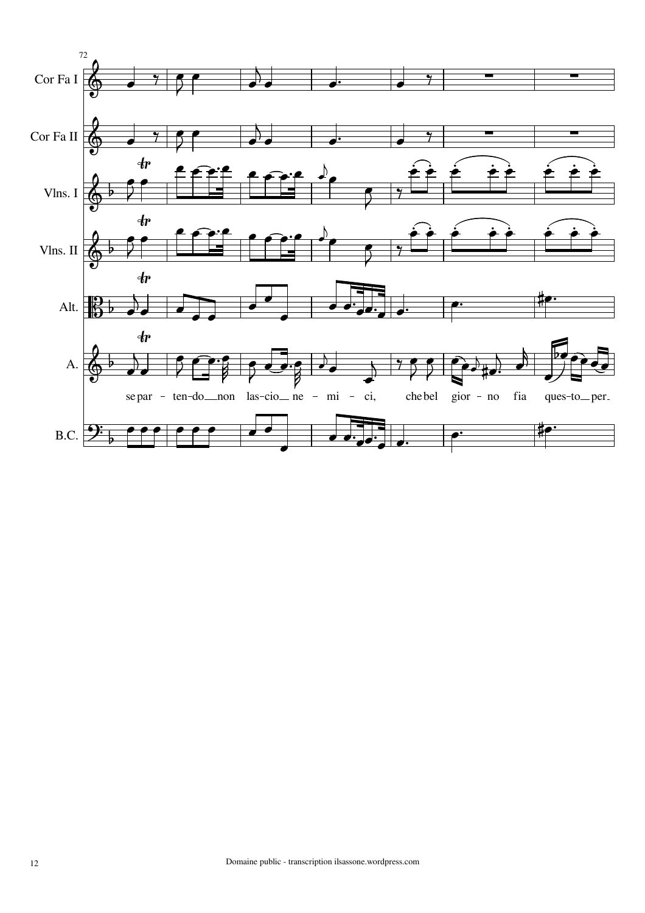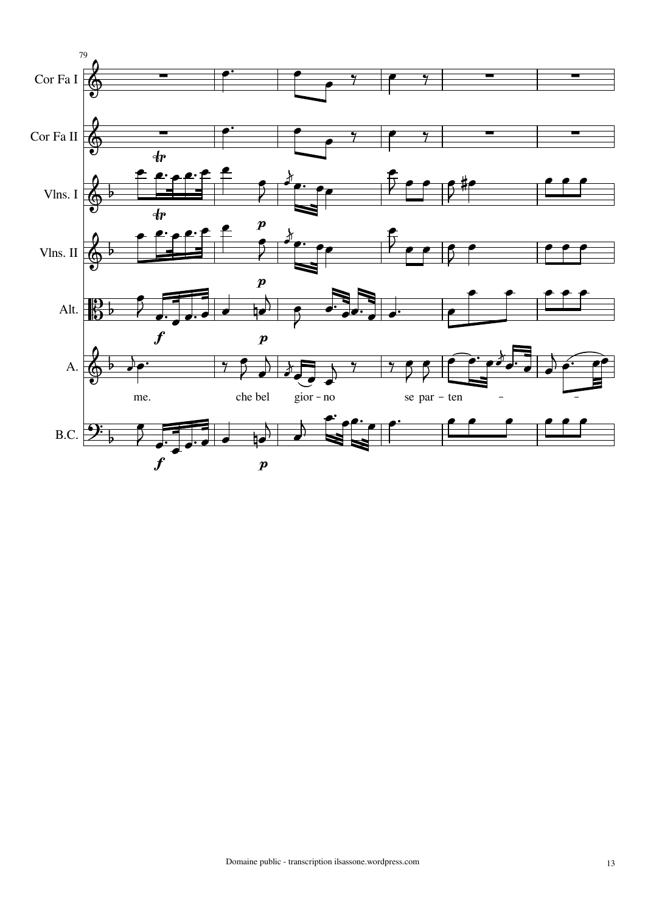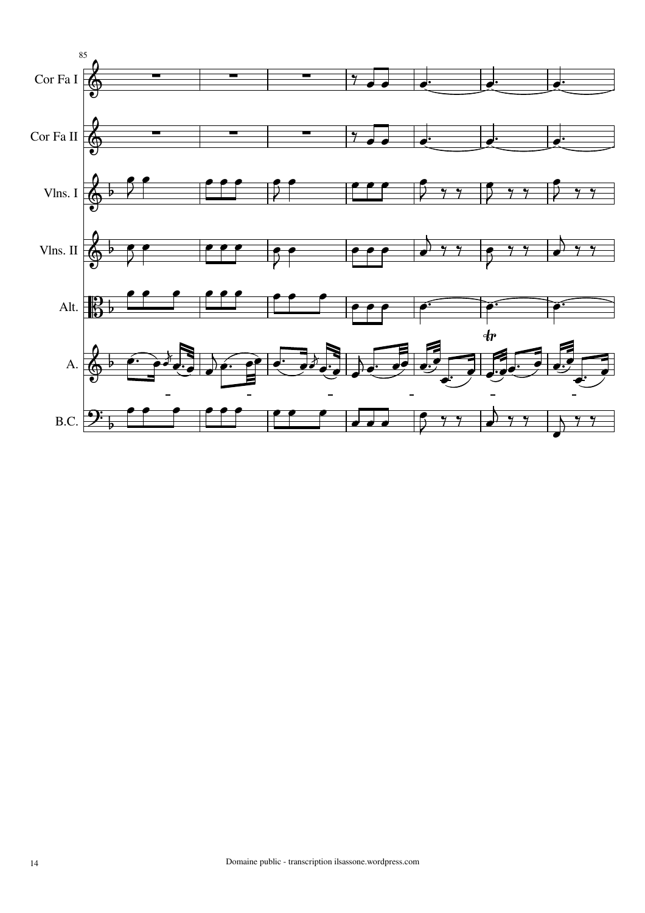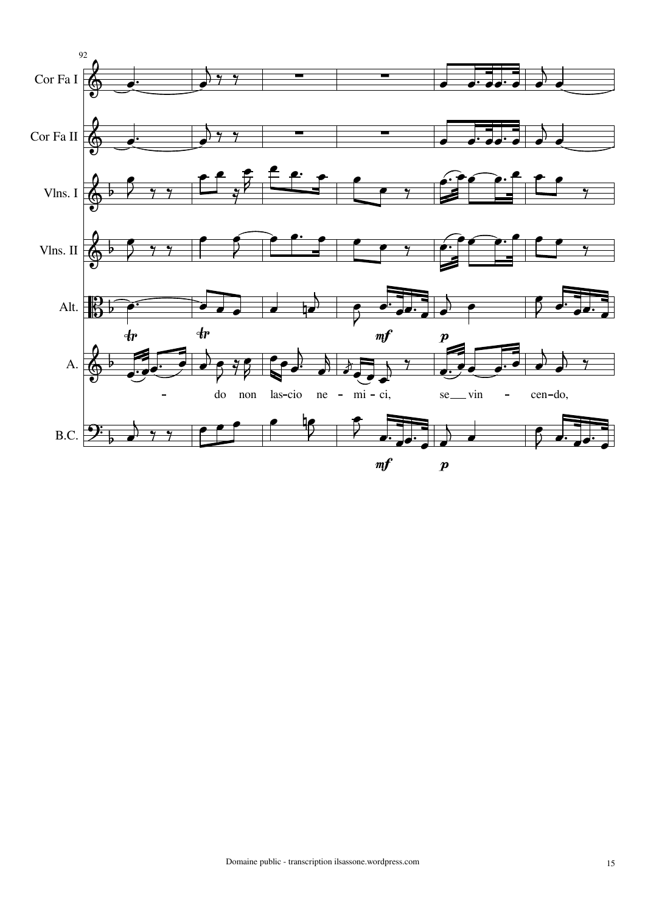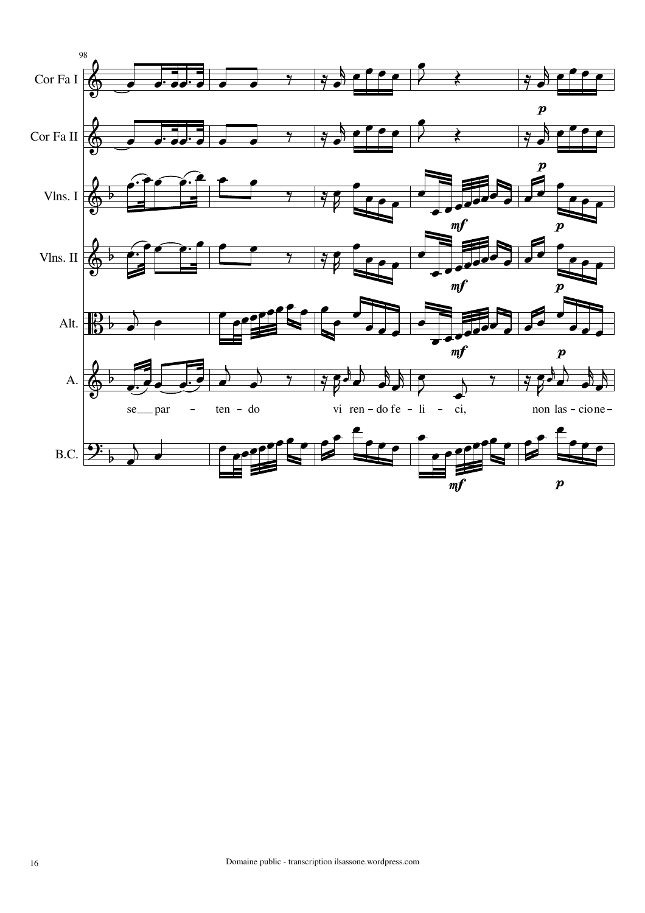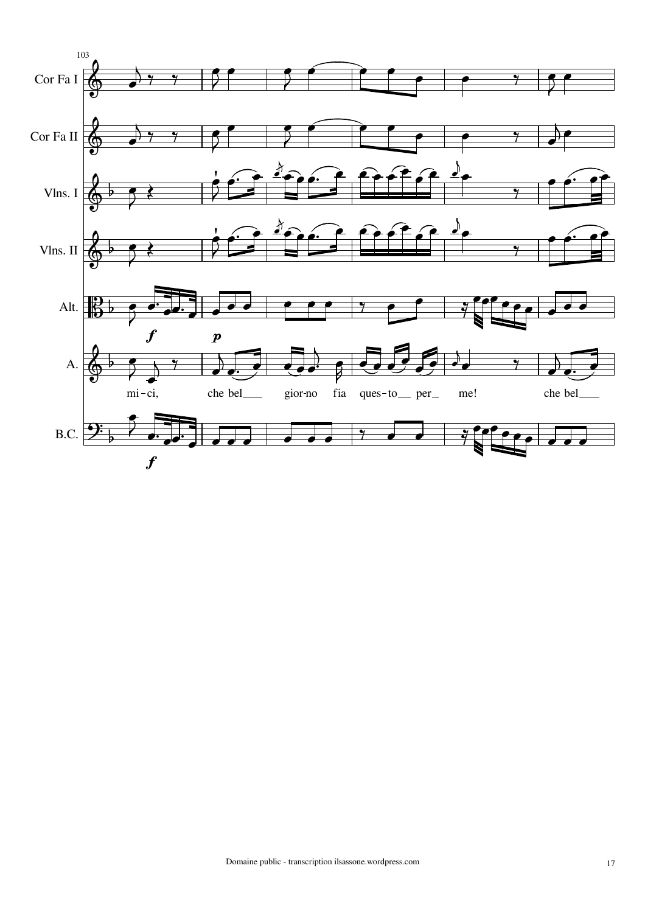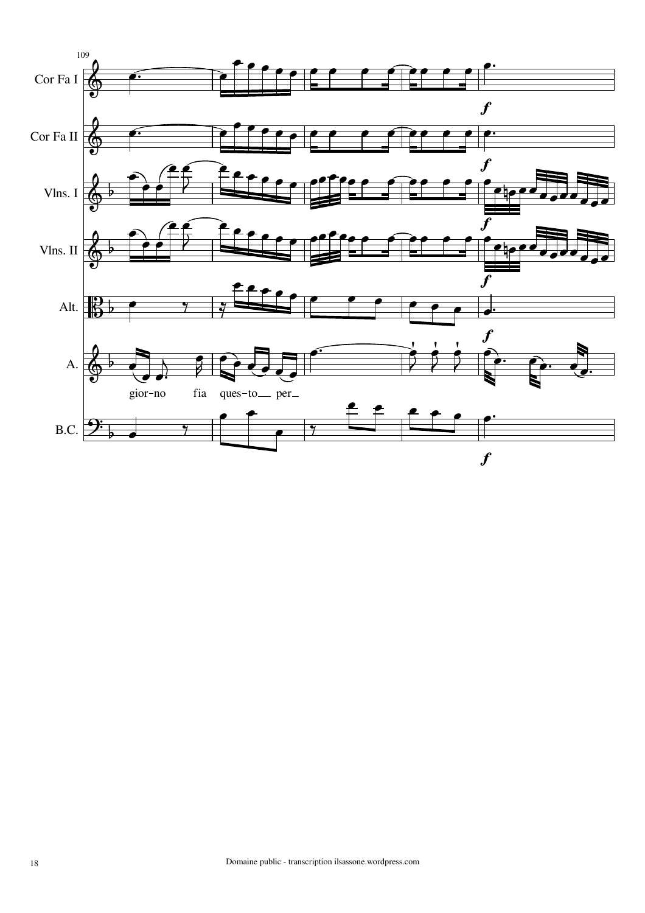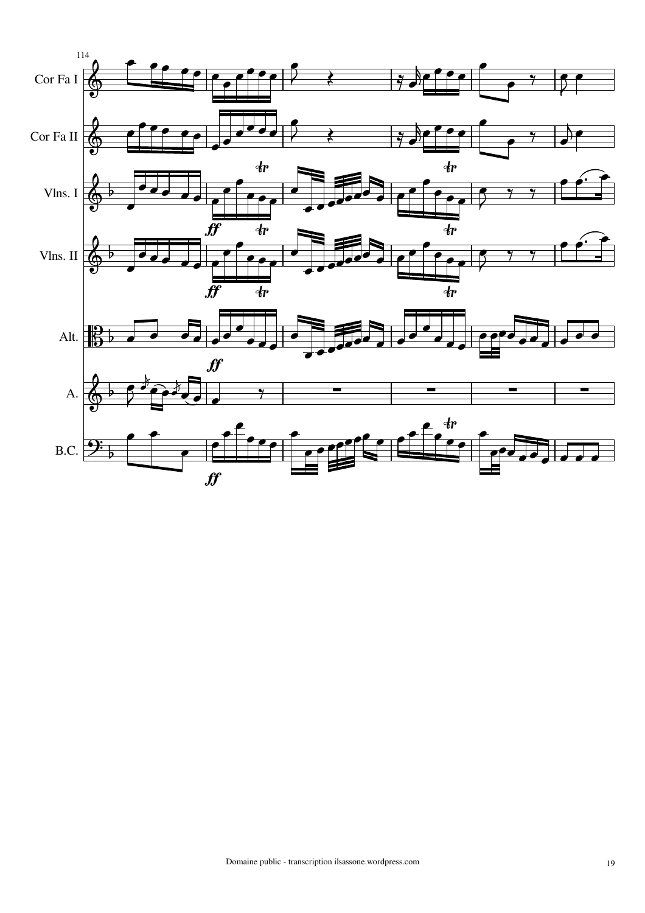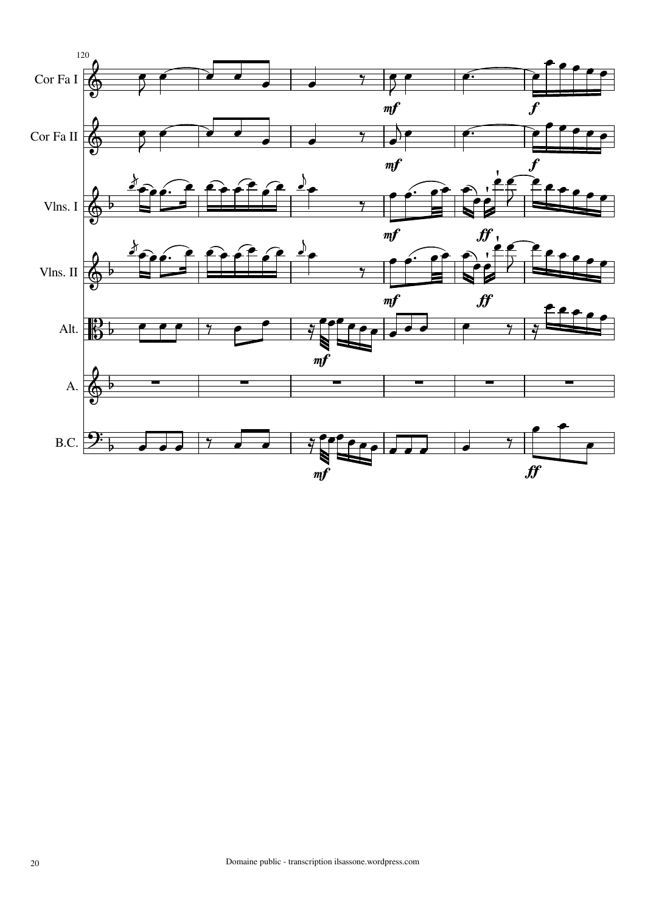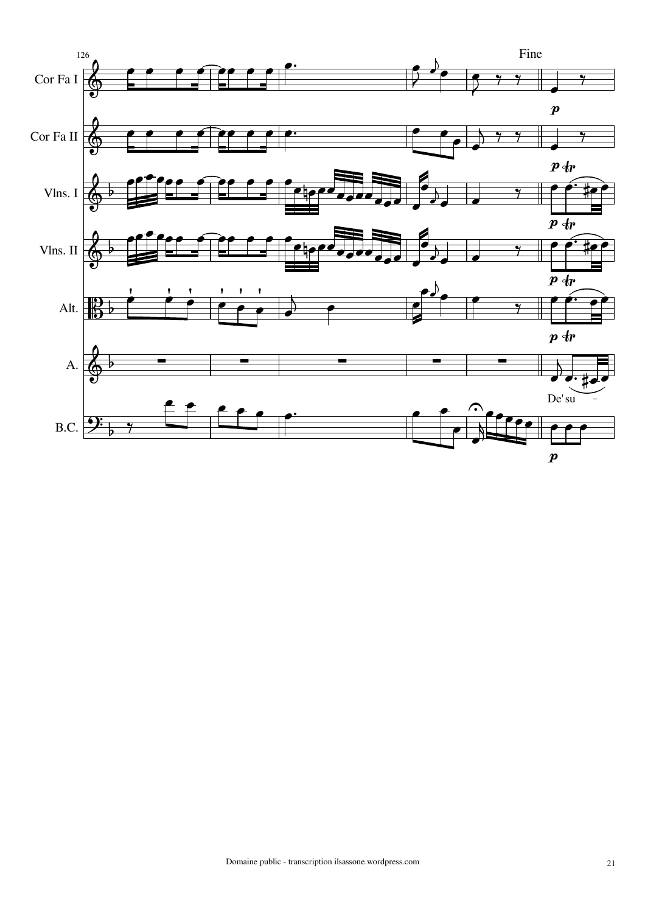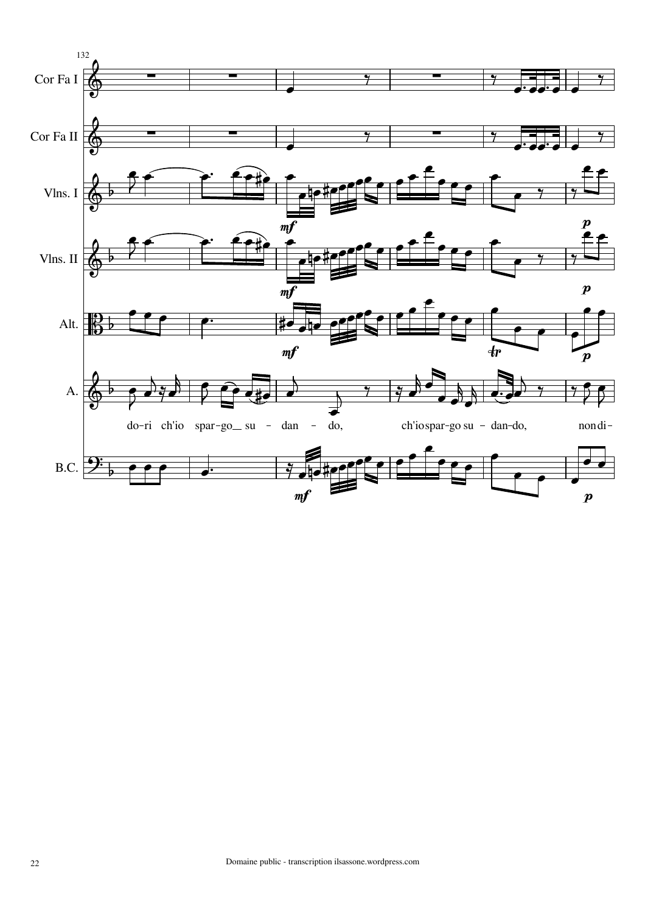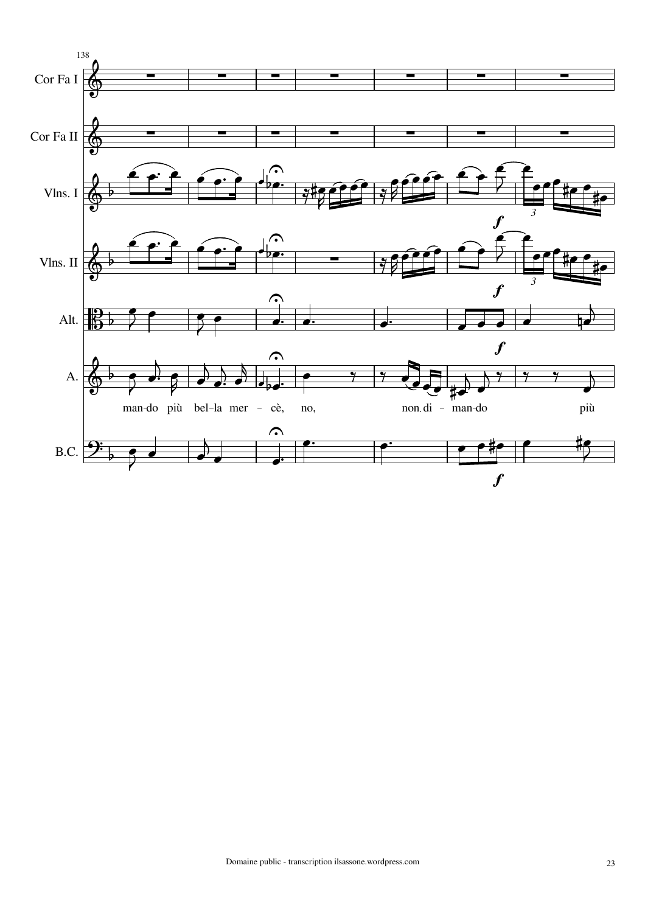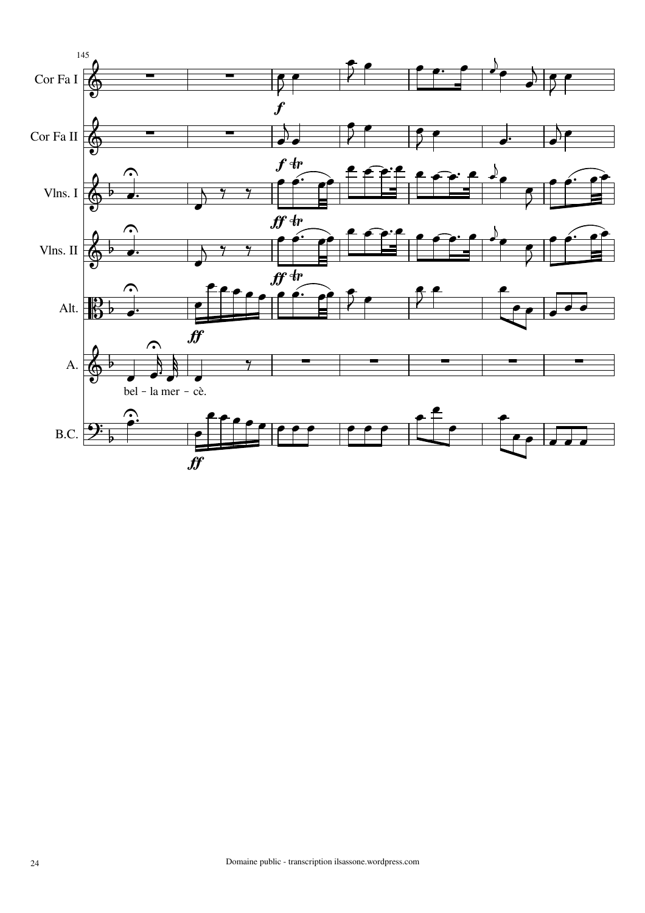